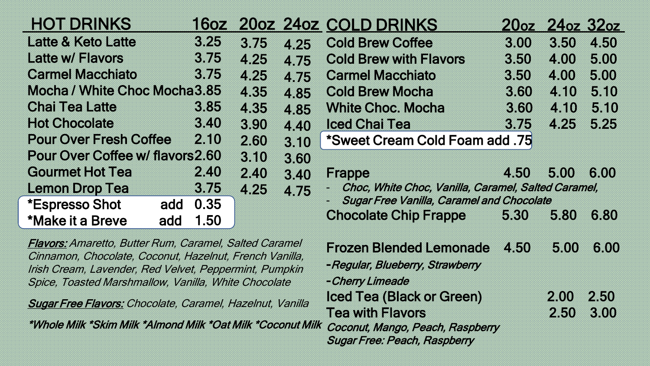| <b>HOT DRINKS</b>                                                                                                                                                                                                                          | <b>160Z</b> |      |                                                                                       | 200Z 240Z COLD DRINKS                                                                              | <b>2062</b> | 24oz 32oz |      |
|--------------------------------------------------------------------------------------------------------------------------------------------------------------------------------------------------------------------------------------------|-------------|------|---------------------------------------------------------------------------------------|----------------------------------------------------------------------------------------------------|-------------|-----------|------|
| <b>Latte &amp; Keto Latte</b>                                                                                                                                                                                                              | 3.25        | 3.75 | 4.25                                                                                  | <b>Cold Brew Coffee</b>                                                                            | 3.00        | 3.50      | 4.50 |
| Latte w/ Flavors                                                                                                                                                                                                                           | 3.75        | 4.25 | 4.75                                                                                  | <b>Cold Brew with Flavors</b>                                                                      | 3.50        | 4.00      | 5.00 |
| <b>Carmel Macchiato</b>                                                                                                                                                                                                                    | 3.75        | 4.25 | 4.75                                                                                  | <b>Carmel Macchiato</b>                                                                            | 3.50        | 4.00      | 5.00 |
| Mocha / White Choc Mocha 3.85                                                                                                                                                                                                              |             | 4.35 | 4.85                                                                                  | <b>Cold Brew Mocha</b>                                                                             | 3.60        | 4.10      | 5.10 |
| <b>Chai Tea Latte</b>                                                                                                                                                                                                                      | 3.85        | 4.35 | 4.85                                                                                  | <b>White Choc. Mocha</b>                                                                           | 3.60        | 4.10      | 5.10 |
| <b>Hot Chocolate</b>                                                                                                                                                                                                                       | 3.40        | 3.90 | 4.40                                                                                  | <b>Iced Chai Tea</b>                                                                               | 3.75        | 4.25      | 5.25 |
| <b>Pour Over Fresh Coffee</b>                                                                                                                                                                                                              | 2.10        | 2.60 | 3.10                                                                                  | <b>*Sweet Cream Cold Foam add .75</b>                                                              |             |           |      |
| <b>Pour Over Coffee w/ flavors2.60</b>                                                                                                                                                                                                     |             | 3.10 | 3.60                                                                                  |                                                                                                    |             |           |      |
| <b>Gourmet Hot Tea</b>                                                                                                                                                                                                                     | 2.40        | 2.40 | 3.40                                                                                  | <b>Frappe</b>                                                                                      | 4.50        | 5.00      | 6.00 |
| <b>Lemon Drop Tea</b>                                                                                                                                                                                                                      | 3.75        | 4.25 | 4.75                                                                                  | Choc, White Choc, Vanilla, Caramel, Salted Caramel,                                                |             |           |      |
| *Espresso Shot<br>add                                                                                                                                                                                                                      | 0.35        |      |                                                                                       | <b>Sugar Free Vanilla, Caramel and Chocolate</b>                                                   |             |           |      |
| *Make it a Breve<br>add                                                                                                                                                                                                                    | 1.50        |      |                                                                                       | <b>Chocolate Chip Frappe</b>                                                                       | 5.30        | 5.80      | 6.80 |
| <b>Flavors:</b> Amaretto, Butter Rum, Caramel, Salted Caramel<br>Cinnamon, Chocolate, Coconut, Hazelnut, French Vanilla,<br>Irish Cream, Lavender, Red Velvet, Peppermint, Pumpkin<br>Spice, Toasted Marshmallow, Vanilla, White Chocolate |             |      | <b>Frozen Blended Lemonade</b><br>-Regular, Blueberry, Strawberry<br>- Cherry Limeade | 5.00                                                                                               | 6.00        |           |      |
| <b>Sugar Free Flavors: Chocolate, Caramel, Hazelnut, Vanilla</b>                                                                                                                                                                           |             |      |                                                                                       | Iced Tea (Black or Green)                                                                          |             | 2.00      | 2.50 |
| *Whole Milk *Skim Milk *Almond Milk *Oat Milk *Coconut Milk                                                                                                                                                                                |             |      |                                                                                       | <b>Tea with Flavors</b><br>Coconut, Mango, Peach, Raspberry<br><b>Sugar Free: Peach, Raspberry</b> |             | 2.50      | 3.00 |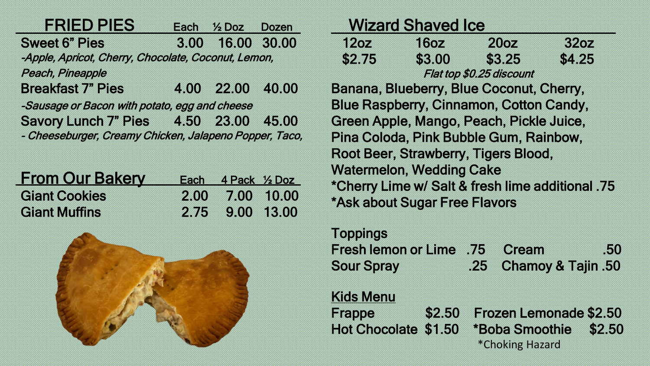| FRIED PIES                                             |      | Each 1/2 Doz     | <b>Dozen</b> |
|--------------------------------------------------------|------|------------------|--------------|
| <b>Sweet 6" Pies</b>                                   | 3.00 | 16.00 30.00      |              |
| -Apple, Apricot, Cherry, Chocolate, Coconut, Lemon,    |      |                  |              |
| Peach, Pineapple                                       |      |                  |              |
| <b>Breakfast 7" Pies</b>                               |      | 4.00 22.00 40.00 |              |
| -Sausage or Bacon with potato, egg and cheese          |      |                  |              |
| Savory Lunch 7" Pies 4.50 23.00 45.00                  |      |                  |              |
| - Cheeseburger, Creamy Chicken, Jalapeno Popper, Taco, |      |                  |              |
|                                                        |      |                  |              |

|  |  |  |  | <b>From Our Bakery</b>                       |  |  |  |  |  |  |  |  |  |  |  |  |  |  |  |  |  |  |  |  |  |  |  | Each 4 Pack 1/2 Doz                |  |  |
|--|--|--|--|----------------------------------------------|--|--|--|--|--|--|--|--|--|--|--|--|--|--|--|--|--|--|--|--|--|--|--|------------------------------------|--|--|
|  |  |  |  | <b>Giant Cookies</b><br><b>Giant Muffins</b> |  |  |  |  |  |  |  |  |  |  |  |  |  |  |  |  |  |  |  |  |  |  |  | 2.00 7.00 10.00<br>2.75 9.00 13.00 |  |  |



|          | <b>Wizard Shaved Ice</b>                       |                          |                                                  |
|----------|------------------------------------------------|--------------------------|--------------------------------------------------|
| 12oz     | 160Z                                           | 20 <sub>oz</sub>         | 32oz                                             |
| \$2.75   | \$3.00                                         | \$3.25                   | \$4.25                                           |
|          |                                                | Flat top \$0.25 discount |                                                  |
|          | Banana, Blueberry, Blue Coconut, Cherry,       |                          |                                                  |
|          | <b>Blue Raspberry, Cinnamon, Cotton Candy,</b> |                          |                                                  |
|          | Green Apple, Mango, Peach, Pickle Juice,       |                          |                                                  |
|          | Pina Coloda, Pink Bubble Gum, Rainbow,         |                          |                                                  |
|          | Root Beer, Strawberry, Tigers Blood,           |                          |                                                  |
|          | <b>Watermelon, Wedding Cake</b>                |                          |                                                  |
|          |                                                |                          | *Cherry Lime w/ Salt & fresh lime additional .75 |
|          | *Ask about Sugar Free Flavors                  |                          |                                                  |
| Toppings |                                                |                          |                                                  |

|  |  |  |                   | <b>Fresh lemon or Lime .75 Cream</b> |  |  |  |                        |  |  |  |  |  |  | - 50 |  |
|--|--|--|-------------------|--------------------------------------|--|--|--|------------------------|--|--|--|--|--|--|------|--|
|  |  |  |                   |                                      |  |  |  |                        |  |  |  |  |  |  |      |  |
|  |  |  |                   |                                      |  |  |  |                        |  |  |  |  |  |  |      |  |
|  |  |  |                   |                                      |  |  |  |                        |  |  |  |  |  |  |      |  |
|  |  |  |                   |                                      |  |  |  |                        |  |  |  |  |  |  |      |  |
|  |  |  |                   |                                      |  |  |  |                        |  |  |  |  |  |  |      |  |
|  |  |  |                   |                                      |  |  |  |                        |  |  |  |  |  |  |      |  |
|  |  |  |                   |                                      |  |  |  |                        |  |  |  |  |  |  |      |  |
|  |  |  |                   |                                      |  |  |  |                        |  |  |  |  |  |  |      |  |
|  |  |  |                   |                                      |  |  |  |                        |  |  |  |  |  |  |      |  |
|  |  |  |                   |                                      |  |  |  | .25 Chamoy & Tajin .50 |  |  |  |  |  |  |      |  |
|  |  |  | <b>Sour Spray</b> |                                      |  |  |  |                        |  |  |  |  |  |  |      |  |
|  |  |  |                   |                                      |  |  |  |                        |  |  |  |  |  |  |      |  |
|  |  |  |                   |                                      |  |  |  |                        |  |  |  |  |  |  |      |  |
|  |  |  |                   |                                      |  |  |  |                        |  |  |  |  |  |  |      |  |
|  |  |  |                   |                                      |  |  |  |                        |  |  |  |  |  |  |      |  |
|  |  |  |                   |                                      |  |  |  |                        |  |  |  |  |  |  |      |  |
|  |  |  |                   |                                      |  |  |  |                        |  |  |  |  |  |  |      |  |
|  |  |  |                   |                                      |  |  |  |                        |  |  |  |  |  |  |      |  |
|  |  |  |                   |                                      |  |  |  |                        |  |  |  |  |  |  |      |  |
|  |  |  |                   |                                      |  |  |  |                        |  |  |  |  |  |  |      |  |
|  |  |  |                   |                                      |  |  |  |                        |  |  |  |  |  |  |      |  |
|  |  |  |                   |                                      |  |  |  |                        |  |  |  |  |  |  |      |  |
|  |  |  |                   |                                      |  |  |  |                        |  |  |  |  |  |  |      |  |
|  |  |  |                   |                                      |  |  |  |                        |  |  |  |  |  |  |      |  |
|  |  |  |                   |                                      |  |  |  |                        |  |  |  |  |  |  |      |  |
|  |  |  |                   |                                      |  |  |  |                        |  |  |  |  |  |  |      |  |

Kids Menu

Frappe \$2.50 Frozen Lemonade \$2.50 Hot Chocolate \$1.50 \*Boba Smoothie \$2.50 \*Choking Hazard